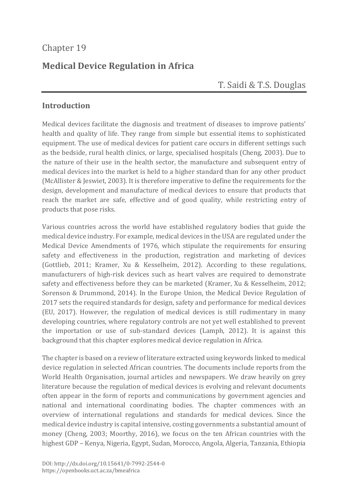## Chapter 19

# **Medical Device Regulation in Africa**

## T. Saidi & T.S. Douglas

#### **Introduction**

Medical devices facilitate the diagnosis and treatment of diseases to improve patients' health and quality of life. They range from simple but essential items to sophisticated equipment. The use of medical devices for patient care occurs in different settings such as the bedside, rural health clinics, or large, specialised hospitals (Cheng, 2003). Due to the nature of their use in the health sector, the manufacture and subsequent entry of medical devices into the market is held to a higher standard than for any other product (McAllister & Jeswiet, 2003). It is therefore imperative to define the requirements for the design, development and manufacture of medical devices to ensure that products that reach the market are safe, effective and of good quality, while restricting entry of products that pose risks.

Various countries across the world have established regulatory bodies that guide the medical device industry. For example, medical devices in the USA are regulated under the Medical Device Amendments of 1976, which stipulate the requirements for ensuring safety and effectiveness in the production, registration and marketing of devices (Gottlieb, 2011; Kramer, Xu & Kesselheim, 2012). According to these regulations, manufacturers of high-risk devices such as heart valves are required to demonstrate safety and effectiveness before they can be marketed (Kramer, Xu & Kesselheim, 2012; Sorenson & Drummond, 2014). In the Europe Union, the Medical Device Regulation of 2017 sets the required standards for design, safety and performance for medical devices (EU, 2017). However, the regulation of medical devices is still rudimentary in many developing countries, where regulatory controls are not yet well established to prevent the importation or use of sub-standard devices (Lamph, 2012). It is against this background that this chapter explores medical device regulation in Africa.

The chapter is based on a review of literature extracted using keywords linked to medical device regulation in selected African countries. The documents include reports from the World Health Organisation, journal articles and newspapers. We draw heavily on grey literature because the regulation of medical devices is evolving and relevant documents often appear in the form of reports and communications by government agencies and national and international coordinating bodies. The chapter commences with an overview of international regulations and standards for medical devices. Since the medical device industry is capital intensive, costing governments a substantial amount of money (Cheng, 2003; Moorthy, 2016), we focus on the ten African countries with the highest GDP – Kenya, Nigeria, Egypt, Sudan, Morocco, Angola, Algeria, Tanzania, Ethiopia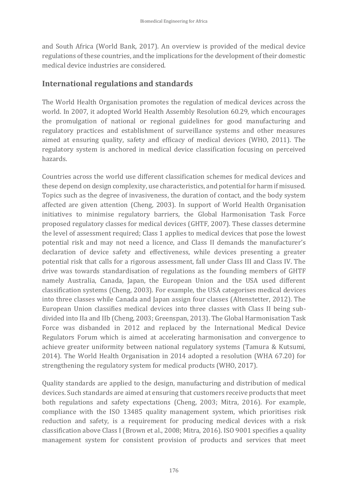and South Africa (World Bank, 2017). An overview is provided of the medical device regulations of these countries, and the implications for the development of their domestic medical device industries are considered.

#### **International regulations and standards**

The World Health Organisation promotes the regulation of medical devices across the world. In 2007, it adopted World Health Assembly Resolution 60.29, which encourages the promulgation of national or regional guidelines for good manufacturing and regulatory practices and establishment of surveillance systems and other measures aimed at ensuring quality, safety and efficacy of medical devices (WHO, 2011). The regulatory system is anchored in medical device classification focusing on perceived hazards.

Countries across the world use different classification schemes for medical devices and these depend on design complexity, use characteristics, and potential for harm if misused. Topics such as the degree of invasiveness, the duration of contact, and the body system affected are given attention (Cheng, 2003). In support of World Health Organisation initiatives to minimise regulatory barriers, the Global Harmonisation Task Force proposed regulatory classes for medical devices (GHTF, 2007). These classes determine the level of assessment required; Class 1 applies to medical devices that pose the lowest potential risk and may not need a licence, and Class II demands the manufacturer's declaration of device safety and effectiveness, while devices presenting a greater potential risk that calls for a rigorous assessment, fall under Class III and Class IV. The drive was towards standardisation of regulations as the founding members of GHTF namely Australia, Canada, Japan, the European Union and the USA used different classification systems (Cheng, 2003). For example, the USA categorises medical devices into three classes while Canada and Japan assign four classes (Altenstetter, 2012). The European Union classifies medical devices into three classes with Class II being subdivided into IIa and IIb (Cheng, 2003; Greenspan, 2013). The Global Harmonisation Task Force was disbanded in 2012 and replaced by the International Medical Device Regulators Forum which is aimed at accelerating harmonisation and convergence to achieve greater uniformity between national regulatory systems (Tamura & Kutsumi, 2014). The World Health Organisation in 2014 adopted a resolution (WHA 67.20) for strengthening the regulatory system for medical products (WHO, 2017).

Quality standards are applied to the design, manufacturing and distribution of medical devices. Such standards are aimed at ensuring that customers receive products that meet both regulations and safety expectations (Cheng, 2003; Mitra, 2016). For example, compliance with the ISO 13485 quality management system, which prioritises risk reduction and safety, is a requirement for producing medical devices with a risk classification above Class I (Brown et al., 2008; Mitra, 2016). ISO 9001 specifies a quality management system for consistent provision of products and services that meet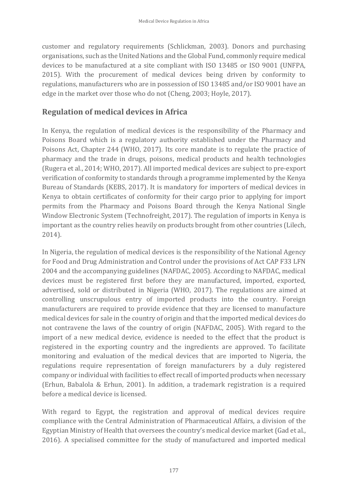customer and regulatory requirements (Schlickman, 2003). Donors and purchasing organisations, such as the United Nations and the Global Fund, commonly require medical devices to be manufactured at a site compliant with ISO 13485 or ISO 9001 (UNFPA, 2015). With the procurement of medical devices being driven by conformity to regulations, manufacturers who are in possession of ISO 13485 and/or ISO 9001 have an edge in the market over those who do not (Cheng, 2003; Hoyle, 2017).

#### **Regulation of medical devices in Africa**

In Kenya, the regulation of medical devices is the responsibility of the Pharmacy and Poisons Board which is a regulatory authority established under the Pharmacy and Poisons Act, Chapter 244 (WHO, 2017). Its core mandate is to regulate the practice of pharmacy and the trade in drugs, poisons, medical products and health technologies (Rugera et al., 2014; WHO, 2017). All imported medical devices are subject to pre-export verification of conformity to standards through a programme implemented by the Kenya Bureau of Standards (KEBS, 2017). It is mandatory for importers of medical devices in Kenya to obtain certificates of conformity for their cargo prior to applying for import permits from the Pharmacy and Poisons Board through the Kenya National Single Window Electronic System (Technofreight, 2017). The regulation of imports in Kenya is important as the country relies heavily on products brought from other countries (Lilech, 2014).

In Nigeria, the regulation of medical devices is the responsibility of the National Agency for Food and Drug Administration and Control under the provisions of Act CAP F33 LFN 2004 and the accompanying guidelines (NAFDAC, 2005). According to NAFDAC, medical devices must be registered first before they are manufactured, imported, exported, advertised, sold or distributed in Nigeria (WHO, 2017). The regulations are aimed at controlling unscrupulous entry of imported products into the country. Foreign manufacturers are required to provide evidence that they are licensed to manufacture medical devices for sale in the country of origin and that the imported medical devices do not contravene the laws of the country of origin (NAFDAC, 2005). With regard to the import of a new medical device, evidence is needed to the effect that the product is registered in the exporting country and the ingredients are approved. To facilitate monitoring and evaluation of the medical devices that are imported to Nigeria, the regulations require representation of foreign manufacturers by a duly registered company or individual with facilities to effect recall of imported products when necessary (Erhun, Babalola & Erhun, 2001). In addition, a trademark registration is a required before a medical device is licensed.

With regard to Egypt, the registration and approval of medical devices require compliance with the Central Administration of Pharmaceutical Affairs, a division of the Egyptian Ministry of Health that oversees the country's medical device market (Gad et al., 2016). A specialised committee for the study of manufactured and imported medical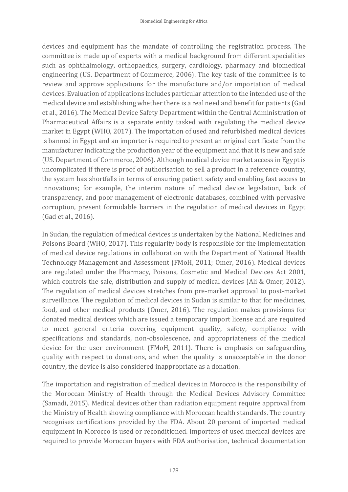devices and equipment has the mandate of controlling the registration process. The committee is made up of experts with a medical background from different specialities such as ophthalmology, orthopaedics, surgery, cardiology, pharmacy and biomedical engineering (US. Department of Commerce, 2006). The key task of the committee is to review and approve applications for the manufacture and/or importation of medical devices. Evaluation of applications includes particular attention to the intended use of the medical device and establishing whether there is a real need and benefit for patients (Gad et al., 2016). The Medical Device Safety Department within the Central Administration of Pharmaceutical Affairs is a separate entity tasked with regulating the medical device market in Egypt (WHO, 2017). The importation of used and refurbished medical devices is banned in Egypt and an importer is required to present an original certificate from the manufacturer indicating the production year of the equipment and that it is new and safe (US. Department of Commerce, 2006). Although medical device market access in Egypt is uncomplicated if there is proof of authorisation to sell a product in a reference country, the system has shortfalls in terms of ensuring patient safety and enabling fast access to innovations; for example, the interim nature of medical device legislation, lack of transparency, and poor management of electronic databases, combined with pervasive corruption, present formidable barriers in the regulation of medical devices in Egypt (Gad et al., 2016).

In Sudan, the regulation of medical devices is undertaken by the National Medicines and Poisons Board (WHO, 2017). This regularity body is responsible for the implementation of medical device regulations in collaboration with the Department of National Health Technology Management and Assessment (FMoH, 2011; Omer, 2016). Medical devices are regulated under the Pharmacy, Poisons, Cosmetic and Medical Devices Act 2001, which controls the sale, distribution and supply of medical devices (Ali & Omer, 2012). The regulation of medical devices stretches from pre-market approval to post-market surveillance. The regulation of medical devices in Sudan is similar to that for medicines, food, and other medical products (Omer, 2016). The regulation makes provisions for donated medical devices which are issued a temporary import license and are required to meet general criteria covering equipment quality, safety, compliance with specifications and standards, non-obsolescence, and appropriateness of the medical device for the user environment (FMoH, 2011). There is emphasis on safeguarding quality with respect to donations, and when the quality is unacceptable in the donor country, the device is also considered inappropriate as a donation.

The importation and registration of medical devices in Morocco is the responsibility of the Moroccan Ministry of Health through the Medical Devices Advisory Committee (Samadi, 2015). Medical devices other than radiation equipment require approval from the Ministry of Health showing compliance with Moroccan health standards. The country recognises certifications provided by the FDA. About 20 percent of imported medical equipment in Morocco is used or reconditioned. Importers of used medical devices are required to provide Moroccan buyers with FDA authorisation, technical documentation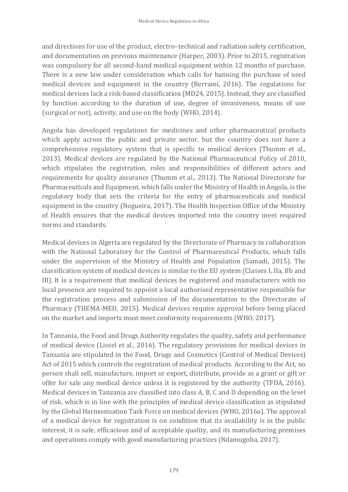and directions for use of the product, electro–technical and radiation safety certification, and documentation on previous maintenance (Harper, 2003). Prior to 2015, registration was compulsory for all second-hand medical equipment within 12 months of purchase. There is a new law under consideration which calls for banning the purchase of used medical devices and equipment in the country (Berrami, 2016). The regulations for medical devices lack a risk-based classification (MD24, 2015). Instead, they are classified by function according to the duration of use, degree of invasiveness, means of use (surgical or not), activity, and use on the body (WHO, 2014).

Angola has developed regulations for medicines and other pharmaceutical products which apply across the public and private sector, but the country does not have a comprehensive regulatory system that is specific to medical devices (Thumm et al., 2013). Medical devices are regulated by the National Pharmaceutical Policy of 2010, which stipulates the registration, roles and responsibilities of different actors and requirements for quality assurance (Thumm et al., 2013). The National Directorate for Pharmaceuticals and Equipment, which falls under the Ministry of Health in Angola, is the regulatory body that sets the criteria for the entry of pharmaceuticals and medical equipment in the country (Nogueira, 2017). The Health Inspection Office of the Ministry of Health ensures that the medical devices imported into the country meet required norms and standards.

Medical devices in Algeria are regulated by the Directorate of Pharmacy in collaboration with the National Laboratory for the Control of Pharmaceutical Products, which falls under the supervision of the Ministry of Health and Population (Samadi, 2015). The classification system of medical devices is similar to the EU system (Classes I, IIa, IIb and III). It is a requirement that medical devices be registered and manufacturers with no local presence are required to appoint a local authorised representative responsible for the registration process and submission of the documentation to the Directorate of Pharmacy (THEMA-MED, 2015). Medical devices require approval before being placed on the market and imports must meet conformity requirements (WHO, 2017).

In Tanzania, the Food and Drugs Authority regulates the quality, safety and performance of medical device (Lissel et al., 2016). The regulatory provisions for medical devices in Tanzania are stipulated in the Food, Drugs and Cosmetics (Control of Medical Devices) Act of 2015 which controls the registration of medical products. According to the Act, no person shall sell, manufacture, import or export, distribute, provide as a grant or gift or offer for sale any medical device unless it is registered by the authority (TFDA, 2016). Medical devices in Tanzania are classified into class A, B, C and D depending on the level of risk, which is in line with the principles of medical device classification as stipulated by the Global Harmonisation Task Force on medical devices (WHO, 2016a). The approval of a medical device for registration is on condition that its availability is in the public interest, it is safe, efficacious and of acceptable quality, and its manufacturing premises and operations comply with good manufacturing practices (Ndamugoba, 2017).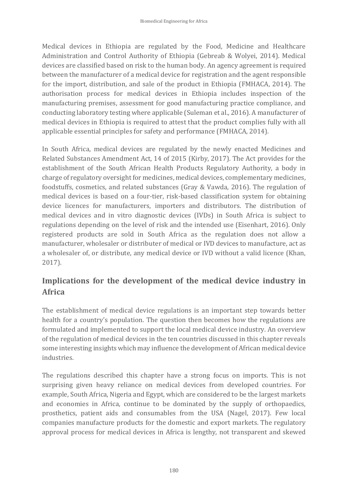Medical devices in Ethiopia are regulated by the Food, Medicine and Healthcare Administration and Control Authority of Ethiopia (Gebreab & Wolyei, 2014). Medical devices are classified based on risk to the human body. An agency agreement is required between the manufacturer of a medical device for registration and the agent responsible for the import, distribution, and sale of the product in Ethiopia (FMHACA, 2014). The authorisation process for medical devices in Ethiopia includes inspection of the manufacturing premises, assessment for good manufacturing practice compliance, and conducting laboratory testing where applicable (Suleman et al., 2016). A manufacturer of medical devices in Ethiopia is required to attest that the product complies fully with all applicable essential principles for safety and performance (FMHACA, 2014).

In South Africa, medical devices are regulated by the newly enacted Medicines and Related Substances Amendment Act, 14 of 2015 (Kirby, 2017). The Act provides for the establishment of the South African Health Products Regulatory Authority, a body in charge of regulatory oversight for medicines, medical devices, complementary medicines, foodstuffs, cosmetics, and related substances (Gray & Vawda, 2016). The regulation of medical devices is based on a four-tier, risk-based classification system for obtaining device licences for manufacturers, importers and distributors. The distribution of medical devices and in vitro diagnostic devices (IVDs) in South Africa is subject to regulations depending on the level of risk and the intended use (Eisenhart, 2016). Only registered products are sold in South Africa as the regulation does not allow a manufacturer, wholesaler or distributer of medical or IVD devices to manufacture, act as a wholesaler of, or distribute, any medical device or IVD without a valid licence (Khan, 2017).

# **Implications for the development of the medical device industry in Africa**

The establishment of medical device regulations is an important step towards better health for a country's population. The question then becomes how the regulations are formulated and implemented to support the local medical device industry. An overview of the regulation of medical devices in the ten countries discussed in this chapter reveals some interesting insights which may influence the development of African medical device industries.

The regulations described this chapter have a strong focus on imports. This is not surprising given heavy reliance on medical devices from developed countries. For example, South Africa, Nigeria and Egypt, which are considered to be the largest markets and economies in Africa, continue to be dominated by the supply of orthopaedics, prosthetics, patient aids and consumables from the USA (Nagel, 2017). Few local companies manufacture products for the domestic and export markets. The regulatory approval process for medical devices in Africa is lengthy, not transparent and skewed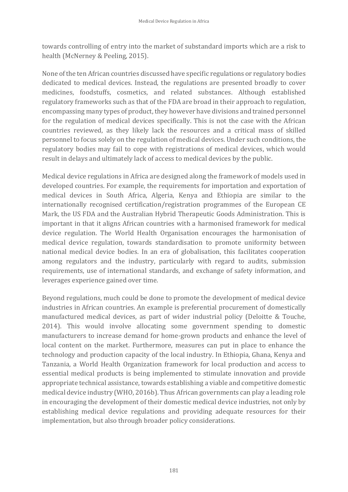towards controlling of entry into the market of substandard imports which are a risk to health (McNerney & Peeling, 2015).

None of the ten African countries discussed have specific regulations or regulatory bodies dedicated to medical devices. Instead, the regulations are presented broadly to cover medicines, foodstuffs, cosmetics, and related substances. Although established regulatory frameworks such as that of the FDA are broad in their approach to regulation, encompassing many types of product, they however have divisions and trained personnel for the regulation of medical devices specifically. This is not the case with the African countries reviewed, as they likely lack the resources and a critical mass of skilled personnel to focus solely on the regulation of medical devices. Under such conditions, the regulatory bodies may fail to cope with registrations of medical devices, which would result in delays and ultimately lack of access to medical devices by the public.

Medical device regulations in Africa are designed along the framework of models used in developed countries. For example, the requirements for importation and exportation of medical devices in South Africa, Algeria, Kenya and Ethiopia are similar to the internationally recognised certification/registration programmes of the European CE Mark, the US FDA and the Australian Hybrid Therapeutic Goods Administration. This is important in that it aligns African countries with a harmonised framework for medical device regulation. The World Health Organisation encourages the harmonisation of medical device regulation, towards standardisation to promote uniformity between national medical device bodies. In an era of globalisation, this facilitates cooperation among regulators and the industry, particularly with regard to audits, submission requirements, use of international standards, and exchange of safety information, and leverages experience gained over time.

Beyond regulations, much could be done to promote the development of medical device industries in African countries. An example is preferential procurement of domestically manufactured medical devices, as part of wider industrial policy (Deloitte & Touche, 2014). This would involve allocating some government spending to domestic manufacturers to increase demand for home-grown products and enhance the level of local content on the market. Furthermore, measures can put in place to enhance the technology and production capacity of the local industry. In Ethiopia, Ghana, Kenya and Tanzania, a World Health Organization framework for local production and access to essential medical products is being implemented to stimulate innovation and provide appropriate technical assistance, towards establishing a viable and competitive domestic medical device industry (WHO, 2016b). Thus African governments can play a leading role in encouraging the development of their domestic medical device industries, not only by establishing medical device regulations and providing adequate resources for their implementation, but also through broader policy considerations.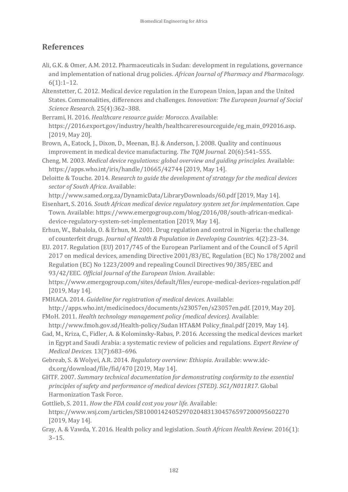### **References**

- Ali, G.K. & Omer, A.M. 2012. Pharmaceuticals in Sudan: development in regulations, governance and implementation of national drug policies. *African Journal of Pharmacy and Pharmacology.*  $6(1):1-12.$
- Altenstetter, C. 2012. Medical device regulation in the European Union, Japan and the United States. Commonalities, differences and challenges. *Innovation: The European Journal of Social Science Research.* 25(4):362–388.
- Berrami, H. 2016. *Healthcare resource guide: Morocco.* Available: [https://2016.export.gov/industry/health/healthcareresourceguide/eg\\_main\\_092016.asp.](https://2016.export.gov/industry/health/healthcareresourceguide/eg_main_092016.asp) [2019, May 20].
- Brown, A., Eatock, J., Dixon, D., Meenan, B.J. & Anderson, J. 2008. Quality and continuous improvement in medical device manufacturing. *The TQM Journal.* 20(6):541–555.
- Cheng, M. 2003. *Medical device regulations: global overview and guiding principles.* Available: https://apps.who.int/iris/handle/10665/42744 [2019, May 14].
- Deloitte & Touche. 2014. *Research to guide the development of strategy for the medical devices sector of South Africa*. Available:
- http://www.samed.org.za/DynamicData/LibraryDownloads/60.pdf [2019, May 14].
- Eisenhart, S. 2016. *South African medical device regulatory system set for implementation*. Cape Town. Available: https://www.emergogroup.com/blog/2016/08/south-african-medicaldevice-regulatory-system-set-implementation [2019, May 14].
- Erhun, W., Babalola, O. & Erhun, M. 2001. Drug regulation and control in Nigeria: the challenge of counterfeit drugs. *Journal of Health & Population in Developing Countries.* 4(2):23–34.
- EU. 2017. Regulation (EU) 2017/745 of the European Parliament and of the Council of 5 April 2017 on medical devices, amending Directive 2001/83/EC, Regulation (EC) No 178/2002 and Regulation (EC) No 1223/2009 and repealing Council Directives 90/385/EEC and 93/42/EEC. *Official Journal of the European Union.* Available:
- https://www.emergogroup.com/sites/default/files/europe-medical-devices-regulation.pdf [2019, May 14].
- FMHACA. 2014. *Guideline for registration of medical devices*. Available: [http://apps.who.int/medicinedocs/documents/s23057en/s23057en.pdf.](http://apps.who.int/medicinedocs/documents/s23057en/s23057en.pdf) [2019, May 20].
- FMoH. 2011. *Health technology management policy (medical devices).* Available: http://www.fmoh.gov.sd/Health-policy/Sudan HTA&M Policy\_final.pdf [2019, May 14].
- Gad, M., Kriza, C., Fidler, A. & Kolominsky-Rabas, P. 2016. Accessing the medical devices market in Egypt and Saudi Arabia: a systematic review of policies and regulations. *Expert Review of Medical Devices.* 13(7):683–696.
- Gebreab, S. & Wolyei, A.R. 2014. *Regulatory overview: Ethiopia*. Available: www.idcdx.org/download/file/fid/470 [2019, May 14].
- GHTF. 2007. *Summary technical documentation for demonstrating conformity to the essential principles of safety and performance of medical devices (STED). SG1/N011R17.* Global Harmonization Task Force.
- Gottlieb, S. 2011. *How the FDA could cost you your life.* Available: https://www.wsj.com/articles/SB10001424052970204831304576597200095602270 [2019, May 14].
- Gray, A. & Vawda, Y. 2016. Health policy and legislation. *South African Health Review.* 2016(1): 3–15.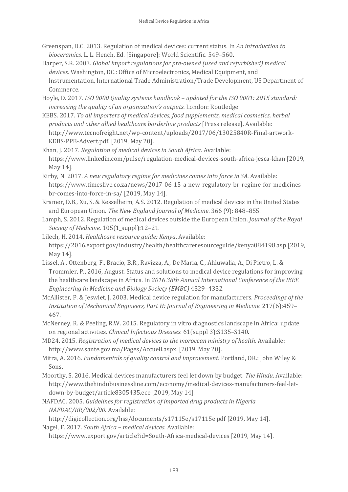- Greenspan, D.C. 2013. Regulation of medical devices: current status. In *An introduction to bioceramics.* L. L. Hench, Ed. [Singapore]: World Scientific. 549–560.
- Harper, S.R. 2003. *Global import regulations for pre-owned (used and refurbished) medical devices.* Washington, DC.: Office of Microelectronics, Medical Equipment, and Instrumentation, International Trade Administration/Trade Development, US Department of Commerce.
- Hoyle, D. 2017. *ISO 9000 Quality systems handbook – updated for the ISO 9001: 2015 standard: increasing the quality of an organization's outputs.* London: Routledge.
- KEBS. 2017. *To all importers of medical devices, food supplements, medical cosmetics, herbal products and other allied healthcare borderline products* [Press release]. Available: [http://www.tecnofreight.net/wp-content/uploads/2017/06/13025840R-Final-artwork-](http://www.tecnofreight.net/wp-content/uploads/2017/06/13025840R-Final-artwork-KEBS-PPB-Advert.pdf)[KEBS-PPB-Advert.pdf](http://www.tecnofreight.net/wp-content/uploads/2017/06/13025840R-Final-artwork-KEBS-PPB-Advert.pdf)*.* [2019, May 20].
- Khan, J. 2017. *Regulation of medical devices in South Africa*. Available: https://www.linkedin.com/pulse/regulation-medical-devices-south-africa-jesca-khan [2019, May 14].
- Kirby, N. 2017. *A new regulatory regime for medicines comes into force in SA.* Available: https://www.timeslive.co.za/news/2017-06-15-a-new-regulatory-br-regime-for-medicinesbr-comes-into-force-in-sa/ [2019, May 14].
- Kramer, D.B., Xu, S. & Kesselheim, A.S. 2012. Regulation of medical devices in the United States and European Union. *The New England Journal of Medicine*. 366 (9): 848–855.
- Lamph, S. 2012. Regulation of medical devices outside the European Union. *Journal of the Royal Society of Medicine.* 105(1\_suppl):12–21.
- Lilech, H. 2014. *Healthcare resource guide: Kenya*. Available: https://2016.export.gov/industry/health/healthcareresourceguide/kenya084198.asp [2019, May 14].
- Lissel, A., Ottenberg, F., Bracio, B.R., Ravizza, A., De Maria, C., Ahluwalia, A., Di Pietro, L. & Trommler, P., 2016, August. Status and solutions to medical device regulations for improving the healthcare landscape in Africa. In *2016 38th Annual International Conference of the IEEE Engineering in Medicine and Biology Society (EMBC)* 4329–4332.
- McAllister, P. & Jeswiet, J. 2003. Medical device regulation for manufacturers. *Proceedings of the Institution of Mechanical Engineers, Part H: Journal of Engineering in Medicine.* 217(6):459– 467.
- McNerney, R. & Peeling, R.W. 2015. Regulatory in vitro diagnostics landscape in Africa: update on regional activities. *Clinical Infectious Diseases.* 61(suppl 3):S135–S140.
- MD24. 2015. *Registration of medical devices to the moroccan ministry of health*. Available: [http://www.sante.gov.ma/Pages/Accueil.aspx.](http://www.sante.gov.ma/Pages/Accueil.aspx) [2019, May 20].
- Mitra, A. 2016. *Fundamentals of quality control and improvement.* Portland, OR.: John Wiley & Sons.
- Moorthy, S. 2016. Medical devices manufacturers feel let down by budget. *The Hindu*. Available: http://www.thehindubusinessline.com/economy/medical-devices-manufacturers-feel-letdown-by-budget/article8305435.ece [2019, May 14].
- NAFDAC. 2005. *Guidelines for registration of imported drug products in Nigeria NAFDAC/RR/002/00*. Available:

http://digicollection.org/hss/documents/s17115e/s17115e.pdf [2019, May 14].

Nagel, F. 2017. *South Africa – medical devices*. Available:

https://www.export.gov/article?id=South-Africa-medical-devices [2019, May 14].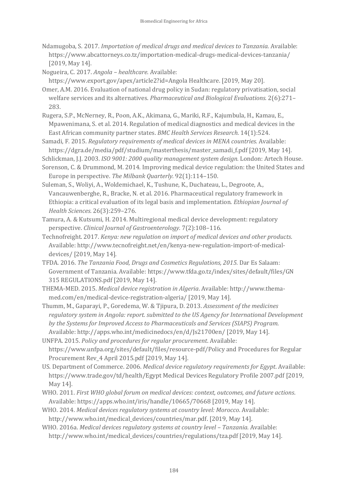- Ndamugoba, S. 2017. *Importation of medical drugs and medical devices to Tanzania*. Available: https://www.abcattorneys.co.tz/importation-medical-drugs-medical-devices-tanzania/ [2019, May 14].
- Nogueira, C. 2017. *Angola – healthcare*. Available:
- https://www.export.gov/apex/article2?id=Angola Healthcare. [2019, May 20]. Omer, A.M. 2016. Evaluation of national drug policy in Sudan: regulatory privatisation, social
- welfare services and its alternatives. *Pharmaceutical and Biological Evaluations.* 2(6):271– 283.
- Rugera, S.P., McNerney, R., Poon, A.K., Akimana, G., Mariki, R.F., Kajumbula, H., Kamau, E., Mpawenimana, S. et al. 2014. Regulation of medical diagnostics and medical devices in the East African community partner states. *BMC Health Services Research.* 14(1):524.
- Samadi, F. 2015. *Regulatory requirements of medical devices in MENA countries.* Available: https://dgra.de/media/pdf/studium/masterthesis/master\_samadi\_f.pdf [2019, May 14].
- Schlickman, J.J. 2003. *ISO 9001: 2000 quality management system design.* London: Artech House.
- Sorenson, C. & Drummond, M. 2014. Improving medical device regulation: the United States and Europe in perspective. *The Milbank Quarterly.* 92(1):114–150.
- Suleman, S., Woliyi, A., Woldemichael, K., Tushune, K., Duchateau, L., Degroote, A., Vancauwenberghe, R., Bracke, N. et al. 2016. Pharmaceutical regulatory framework in Ethiopia: a critical evaluation of its legal basis and implementation. *Ethiopian Journal of Health Sciences.* 26(3):259–276.
- Tamura, A. & Kutsumi, H. 2014. Multiregional medical device development: regulatory perspective. *Clinical Journal of Gastroenterology.* 7(2):108–116.
- Technofreight. 2017. *Kenya: new regulation on import of medical devices and other products*. Available: http://www.tecnofreight.net/en/kenya-new-regulation-import-of-medicaldevices/ [2019, May 14].
- TFDA. 2016. *The Tanzania Food, Drugs and Cosmetics Regulations, 2015.* Dar Es Salaam: Government of Tanzania. Available: https://www.tfda.go.tz/index/sites/default/files/GN 315 REGULATIONS.pdf [2019, May 14].
- THEMA-MED. 2015. *Medical device registration in Algeria*. Available: http://www.themamed.com/en/medical-device-registration-algeria/ [2019, May 14].
- Thumm, M., Gaparayi, P., Goredema, W. & Tjipura, D. 2013. *Assessment of the medicines regulatory system in Angola: report. submitted to the US Agency for International Development by the Systems for Improved Access to Pharmaceuticals and Services (SIAPS) Program.*  Available: http://apps.who.int/medicinedocs/en/d/Js21700en/ [2019, May 14].
- UNFPA. 2015. *Policy and procedures for regular procurement*. Available: https://www.unfpa.org/sites/default/files/resource-pdf/Policy and Procedures for Regular Procurement Rev\_4 April 2015.pdf [2019, May 14].
- US. Department of Commerce. 2006. *Medical device regulatory requirements for Egypt*. Available: https://www.trade.gov/td/health/Egypt Medical Devices Regulatory Profile 2007.pdf [2019, May 14].
- WHO. 2011. *First WHO global forum on medical devices: context, outcomes, and future actions*. Available: https://apps.who.int/iris/handle/10665/70668 [2019, May 14].
- WHO. 2014. *Medical devices regulatory systems at country level: Morocco*. Available: [http://www.who.int/medical\\_devices/countries/mar.pdf.](http://www.who.int/medical_devices/countries/mar.pdf) [2019, May 14].
- WHO. 2016a. *Medical devices regulatory systems at country level Tanzania.* Available: http://www.who.int/medical\_devices/countries/regulations/tza.pdf [2019, May 14].